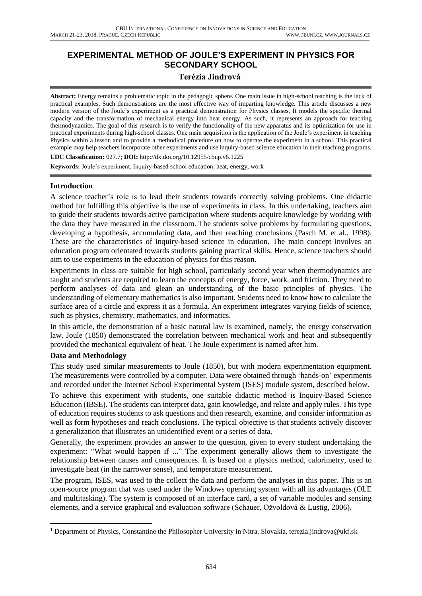## **EXPERIMENTAL METHOD OF JOULE'S EXPERIMENT IN PHYSICS FOR SECONDARY SCHOOL**

## **Terézia Jindrová**<sup>1</sup>

**Abstract:** Energy remains a problematic topic in the pedagogic sphere. One main issue in high-school teaching is the lack of practical examples. Such demonstrations are the most effective way of imparting knowledge. This article discusses a new modern version of the Joule's experiment as a practical demonstration for Physics classes. It models the specific thermal capacity and the transformation of mechanical energy into heat energy. As such, it represents an approach for teaching thermodynamics. The goal of this research is to verify the functionality of the new apparatus and its optimization for use in practical experiments during high-school classes. One main acquisition is the application of the Joule's experiment in teaching Physics within a lesson and to provide a methodical procedure on how to operate the experiment in a school. This practical example may help teachers incorporate other experiments and use inquiry-based science education in their teaching programs.

**UDC Classification:** 027.7; **DOI:** http://dx.doi.org/10.12955/cbup.v6.1225

**Keywords:** Joule's experiment, Inquiry-based school education, heat, energy, work

### **Introduction**

A science teacher's role is to lead their students towards correctly solving problems. One didactic method for fulfilling this objective is the use of experiments in class. In this undertaking, teachers aim to guide their students towards active participation where students acquire knowledge by working with the data they have measured in the classroom. The students solve problems by formulating questions, developing a hypothesis, accumulating data, and then reaching conclusions (Pasch M. et al., 1998). These are the characteristics of inquiry-based science in education. The main concept involves an education program orientated towards students gaining practical skills. Hence, science teachers should aim to use experiments in the education of physics for this reason.

Experiments in class are suitable for high school, particularly second year when thermodynamics are taught and students are required to learn the concepts of energy, force, work, and friction. They need to perform analyses of data and glean an understanding of the basic principles of physics. The understanding of elementary mathematics is also important. Students need to know how to calculate the surface area of a circle and express it as a formula. An experiment integrates varying fields of science, such as physics, chemistry, mathematics, and informatics.

In this article, the demonstration of a basic natural law is examined, namely, the energy conservation law. Joule (1850) demonstrated the correlation between mechanical work and heat and subsequently provided the mechanical equivalent of heat. The Joule experiment is named after him.

### **Data and Methodology**

 $\overline{a}$ 

This study used similar measurements to Joule (1850), but with modern experimentation equipment. The measurements were controlled by a computer. Data were obtained through 'hands-on' experiments and recorded under the Internet School Experimental System (ISES) module system, described below.

To achieve this experiment with students, one suitable didactic method is Inquiry-Based Science Education (IBSE). The students can interpret data, gain knowledge, and relate and apply rules. This type of education requires students to ask questions and then research, examine, and consider information as well as form hypotheses and reach conclusions. The typical objective is that students actively discover a generalization that illustrates an unidentified event or a series of data.

Generally, the experiment provides an answer to the question, given to every student undertaking the experiment: "What would happen if ..." The experiment generally allows them to investigate the relationship between causes and consequences. It is based on a physics method, calorimetry, used to investigate heat (in the narrower sense), and temperature measurement.

The program, ISES, was used to the collect the data and perform the analyses in this paper. This is an open-source program that was used under the Windows operating system with all its advantages (OLE and multitasking). The system is composed of an interface card, a set of variable modules and sensing elements, and a service graphical and evaluation software (Schauer, Ožvoldová & Lustig, 2006).

**<sup>1</sup>** Department of Physics, Constantine the Philosopher University in Nitra, Slovakia, terezia.jindrova@ukf.sk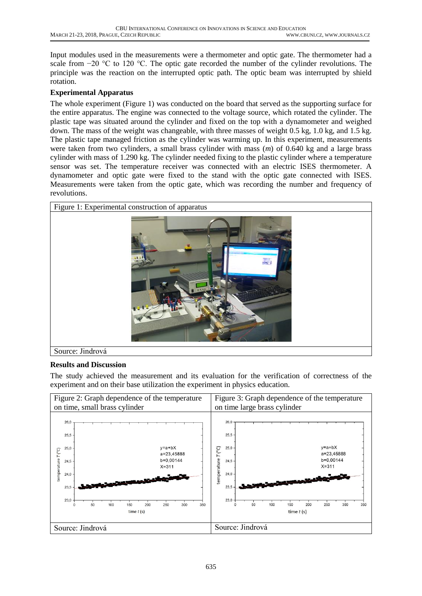Input modules used in the measurements were a thermometer and optic gate. The thermometer had a scale from −20 °C to 120 °C. The optic gate recorded the number of the cylinder revolutions. The principle was the reaction on the interrupted optic path. The optic beam was interrupted by shield rotation.

### **Experimental Apparatus**

The whole experiment (Figure 1) was conducted on the board that served as the supporting surface for the entire apparatus. The engine was connected to the voltage source, which rotated the cylinder. The plastic tape was situated around the cylinder and fixed on the top with a dynamometer and weighed down. The mass of the weight was changeable, with three masses of weight 0.5 kg, 1.0 kg, and 1.5 kg. The plastic tape managed friction as the cylinder was warming up. In this experiment, measurements were taken from two cylinders, a small brass cylinder with mass (*m*) of 0.640 kg and a large brass cylinder with mass of 1.290 kg. The cylinder needed fixing to the plastic cylinder where a temperature sensor was set. The temperature receiver was connected with an electric ISES thermometer. A dynamometer and optic gate were fixed to the stand with the optic gate connected with ISES. Measurements were taken from the optic gate, which was recording the number and frequency of revolutions.



# **Results and Discussion**

The study achieved the measurement and its evaluation for the verification of correctness of the experiment and on their base utilization the experiment in physics education.

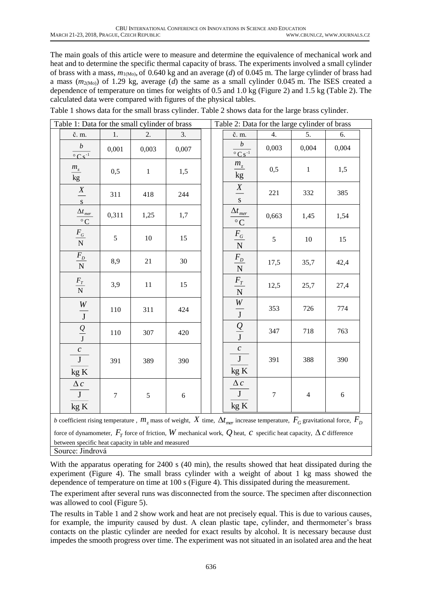The main goals of this article were to measure and determine the equivalence of mechanical work and heat and to determine the specific thermal capacity of brass. The experiments involved a small cylinder of brass with a mass, *m*1(Mo), of 0.640 kg and an average (*d*) of 0.045 m. The large cylinder of brass had a mass (*m*2(Mo)) of 1.29 kg, average (*d*) the same as a small cylinder 0.045 m. The ISES created a dependence of temperature on times for weights of 0.5 and 1.0 kg (Figure 2) and 1.5 kg (Table 2). The calculated data were compared with figures of the physical tables.

| Table 1: Data for the small cylinder of brass                                                                             |                                                                                                                                         |                |              |       |  | Table 2: Data for the large cylinder of brass |                                                              |                |                |            |  |
|---------------------------------------------------------------------------------------------------------------------------|-----------------------------------------------------------------------------------------------------------------------------------------|----------------|--------------|-------|--|-----------------------------------------------|--------------------------------------------------------------|----------------|----------------|------------|--|
|                                                                                                                           | č. m.                                                                                                                                   | 1.             | 2.           | 3.    |  |                                               | č. m.                                                        | 4.             | 5.             | 6.         |  |
|                                                                                                                           | $\boldsymbol{b}$<br>$\overline{{}^{\circ}$ Cs <sup>-1</sup>                                                                             | 0,001          | 0,003        | 0,007 |  |                                               | $\boldsymbol{b}$<br>$\circ \overline{Cs^{-1}}$               | 0,003          | 0,004          | 0,004      |  |
|                                                                                                                           | $\frac{m_{\rm z}}{\rm kg}$                                                                                                              | 0,5            | $\mathbf{1}$ | 1,5   |  |                                               | $\frac{m_{\rm z}}{\rm kg}$                                   | 0,5            | $\mathbf{1}$   | 1,5        |  |
|                                                                                                                           | $\frac{X}{s}$                                                                                                                           | 311            | 418          | 244   |  |                                               | $\frac{X}{s}$                                                | 221            | 332            | 385        |  |
|                                                                                                                           | $\Delta t_{mer}$<br>$\circ$ C                                                                                                           | 0,311          | 1,25         | 1,7   |  |                                               | $\Delta t_{mer}$<br>$^\circ \text{C}$                        | 0,663          | 1,45           | 1,54       |  |
|                                                                                                                           | $\frac{F_{G}}{\rm N}$                                                                                                                   | 5              | $10\,$       | 15    |  |                                               | $\frac{F_{\rm G}}{\rm N}$                                    | $\mathfrak{S}$ | 10             | 15         |  |
|                                                                                                                           | $\frac{F_{D}}{\rm N}$                                                                                                                   | 8,9            | 21           | 30    |  |                                               | $\frac{F_{D}}{N}$                                            | 17,5           | 35,7           | 42,4       |  |
|                                                                                                                           | $\frac{F_T}{\rm N}$                                                                                                                     | 3,9            | $11\,$       | 15    |  |                                               | $\frac{F_T}{N}$                                              | 12,5           | 25,7           | 27,4       |  |
|                                                                                                                           | $\frac{W}{J}$                                                                                                                           | 110            | 311          | 424   |  |                                               | $\frac{W}{J}$                                                | 353            | 726            | 774        |  |
|                                                                                                                           | $Q \over J$                                                                                                                             | 110            | 307          | 420   |  |                                               | $\frac{Q}{J}$                                                | 347            | 718            | 763        |  |
|                                                                                                                           | $\mathcal{C}_{\mathcal{C}}$<br>$\overline{\mathbf{J}}$<br>kgK                                                                           | 391            | 389          | 390   |  |                                               | $\boldsymbol{c}$<br>$\overline{\mathbf{J}}$<br>$\text{kg K}$ | 391            | 388            | 390        |  |
|                                                                                                                           | $\Delta c$<br>$\overline{\mathbf{J}}$<br>kgK                                                                                            | $\overline{7}$ | 5            | 6     |  |                                               | $\Delta c$<br>J<br>kgK                                       | $\tau$         | $\overline{4}$ | $\sqrt{6}$ |  |
|                                                                                                                           | b coefficient rising temperature, $m_z$ mass of weight, X time, $\Delta t_{mer}$ increase temperature, $F_G$ gravitational force, $F_D$ |                |              |       |  |                                               |                                                              |                |                |            |  |
| force of dynamometer, $F_T$ force of friction, W mechanical work, Q heat, C specific heat capacity, $\Delta c$ difference |                                                                                                                                         |                |              |       |  |                                               |                                                              |                |                |            |  |

Table 1 shows data for the small brass cylinder. Table 2 shows data for the large brass cylinder.

With the apparatus operating for 2400 s (40 min), the results showed that heat dissipated during the experiment (Figure 4). The small brass cylinder with a weight of about 1 kg mass showed the dependence of temperature on time at 100 s (Figure 4). This dissipated during the measurement.

between specific heat capacity in table and measured

Source: Jindrová

The experiment after several runs was disconnected from the source. The specimen after disconnection was allowed to cool (Figure 5).

The results in Table 1 and 2 show work and heat are not precisely equal. This is due to various causes, for example, the impurity caused by dust. A clean plastic tape, cylinder, and thermometer's brass contacts on the plastic cylinder are needed for exact results by alcohol. It is necessary because dust impedes the smooth progress over time. The experiment was not situated in an isolated area and the heat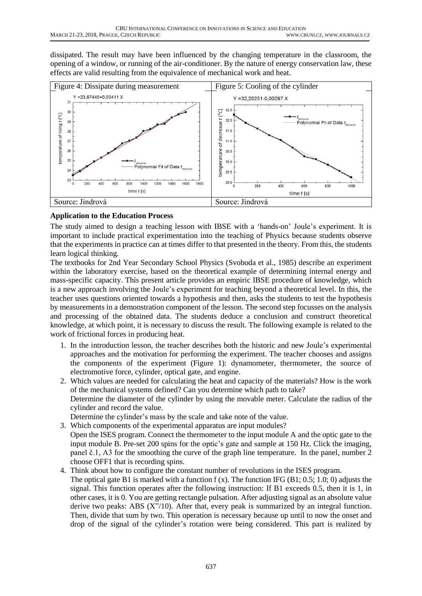dissipated. The result may have been influenced by the changing temperature in the classroom, the opening of a window, or running of the air-conditioner. By the nature of energy conservation law, these effects are valid resulting from the equivalence of mechanical work and heat.



## **Application to the Education Process**

The study aimed to design a teaching lesson with IBSE with a 'hands-on' Joule's experiment. It is important to include practical experimentation into the teaching of Physics because students observe that the experiments in practice can at times differ to that presented in the theory. From this, the students learn logical thinking.

The textbooks for 2nd Year Secondary School Physics (Svoboda et al., 1985) describe an experiment within the laboratory exercise, based on the theoretical example of determining internal energy and mass-specific capacity. This present article provides an empiric IBSE procedure of knowledge, which is a new approach involving the Joule's experiment for teaching beyond a theoretical level. In this, the teacher uses questions oriented towards a hypothesis and then, asks the students to test the hypothesis by measurements in a demonstration component of the lesson. The second step focusses on the analysis and processing of the obtained data. The students deduce a conclusion and construct theoretical knowledge, at which point, it is necessary to discuss the result. The following example is related to the work of frictional forces in producing heat.

- 1. In the introduction lesson, the teacher describes both the historic and new Joule's experimental approaches and the motivation for performing the experiment. The teacher chooses and assigns the components of the experiment (Figure 1): dynamometer, thermometer, the source of electromotive force, cylinder, optical gate, and engine.
- 2. Which values are needed for calculating the heat and capacity of the materials? How is the work of the mechanical systems defined? Can you determine which path to take? Determine the diameter of the cylinder by using the movable meter. Calculate the radius of the cylinder and record the value.

Determine the cylinder's mass by the scale and take note of the value.

- 3. Which components of the experimental apparatus are input modules? Open the ISES program. Connect the thermometer to the input module A and the optic gate to the input module B. Pre-set 200 spins for the optic's gate and sample at 150 Hz. Click the imaging, panel č.1, A3 for the smoothing the curve of the graph line temperature. In the panel, number 2 choose OFF1 that is recording spins.
- 4. Think about how to configure the constant number of revolutions in the ISES program. The optical gate B1 is marked with a function  $f(x)$ . The function IFG (B1; 0.5; 1.0; 0) adjusts the signal. This function operates after the following instruction: If B1 exceeds 0.5, then it is 1, in other cases, it is 0. You are getting rectangle pulsation. After adjusting signal as an absolute value derive two peaks: ABS  $(X''/10)$ . After that, every peak is summarized by an integral function. Then, divide that sum by two. This operation is necessary because up until to now the onset and drop of the signal of the cylinder's rotation were being considered. This part is realized by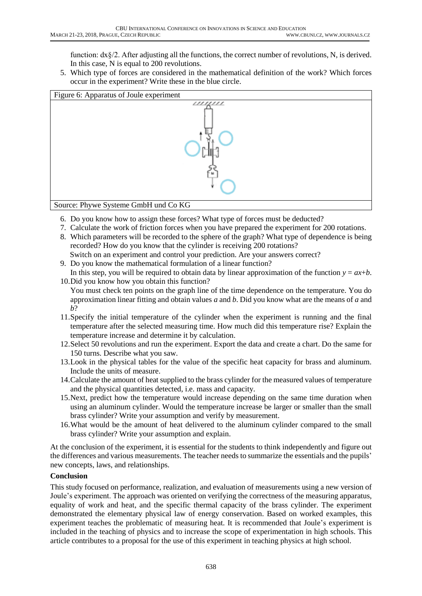function: dx§/2. After adjusting all the functions, the correct number of revolutions, N, is derived. In this case, N is equal to 200 revolutions.

5. Which type of forces are considered in the mathematical definition of the work? Which forces occur in the experiment? Write these in the blue circle.



- 6. Do you know how to assign these forces? What type of forces must be deducted?
- 7. Calculate the work of friction forces when you have prepared the experiment for 200 rotations.
- 8. Which parameters will be recorded to the sphere of the graph? What type of dependence is being recorded? How do you know that the cylinder is receiving 200 rotations? Switch on an experiment and control your prediction. Are your answers correct?
- 9. Do you know the mathematical formulation of a linear function?
- In this step, you will be required to obtain data by linear approximation of the function  $y = ax+b$ . 10.Did you know how you obtain this function?
	- You must check ten points on the graph line of the time dependence on the temperature. You do approximation linear fitting and obtain values *a* and *b*. Did you know what are the means of *a* and *b*?
- 11.Specify the initial temperature of the cylinder when the experiment is running and the final temperature after the selected measuring time. How much did this temperature rise? Explain the temperature increase and determine it by calculation.
- 12.Select 50 revolutions and run the experiment. Export the data and create a chart. Do the same for 150 turns. Describe what you saw.
- 13.Look in the physical tables for the value of the specific heat capacity for brass and aluminum. Include the units of measure.
- 14.Calculate the amount of heat supplied to the brass cylinder for the measured values of temperature and the physical quantities detected, i.e. mass and capacity.
- 15.Next, predict how the temperature would increase depending on the same time duration when using an aluminum cylinder. Would the temperature increase be larger or smaller than the small brass cylinder? Write your assumption and verify by measurement.
- 16.What would be the amount of heat delivered to the aluminum cylinder compared to the small brass cylinder? Write your assumption and explain.

At the conclusion of the experiment, it is essential for the students to think independently and figure out the differences and various measurements. The teacher needs to summarize the essentials and the pupils' new concepts, laws, and relationships.

### **Conclusion**

This study focused on performance, realization, and evaluation of measurements using a new version of Joule's experiment. The approach was oriented on verifying the correctness of the measuring apparatus, equality of work and heat, and the specific thermal capacity of the brass cylinder. The experiment demonstrated the elementary physical law of energy conservation. Based on worked examples, this experiment teaches the problematic of measuring heat. It is recommended that Joule's experiment is included in the teaching of physics and to increase the scope of experimentation in high schools. This article contributes to a proposal for the use of this experiment in teaching physics at high school.